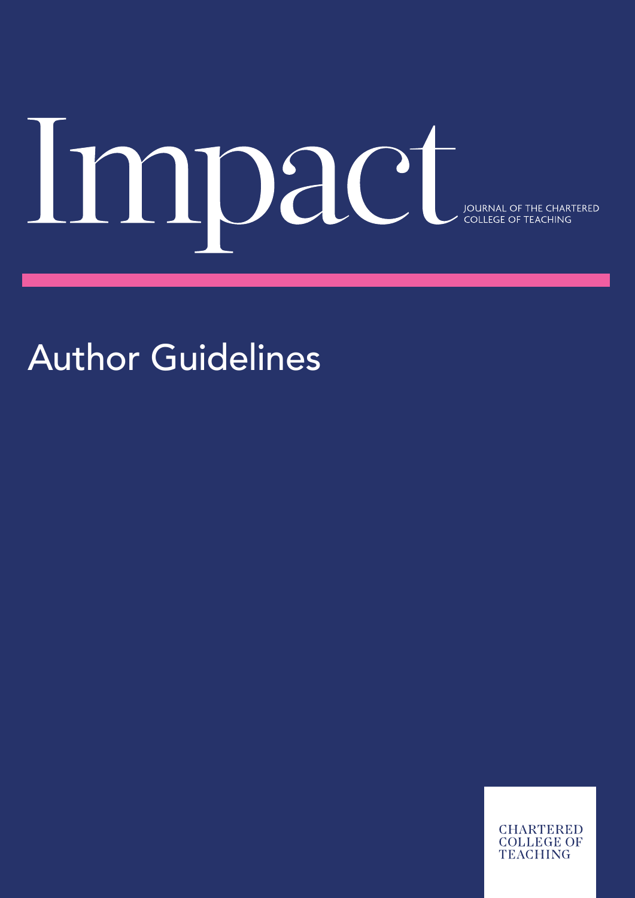# MOace COLLEGE OF THE CHARTERED

Author Guidelines

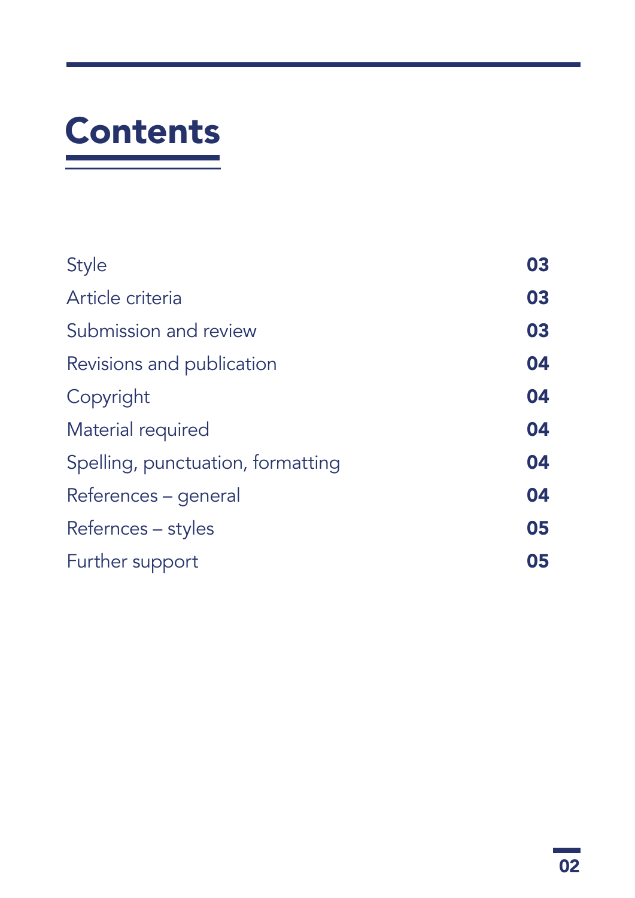# Contents

| <b>Style</b>                      | 03 |
|-----------------------------------|----|
| Article criteria                  | 03 |
| Submission and review             | 03 |
| Revisions and publication         | 04 |
| Copyright                         | 04 |
| Material required                 | 04 |
| Spelling, punctuation, formatting | 04 |
| References – general              | 04 |
| Refernces – styles                | 05 |
| Further support                   | 05 |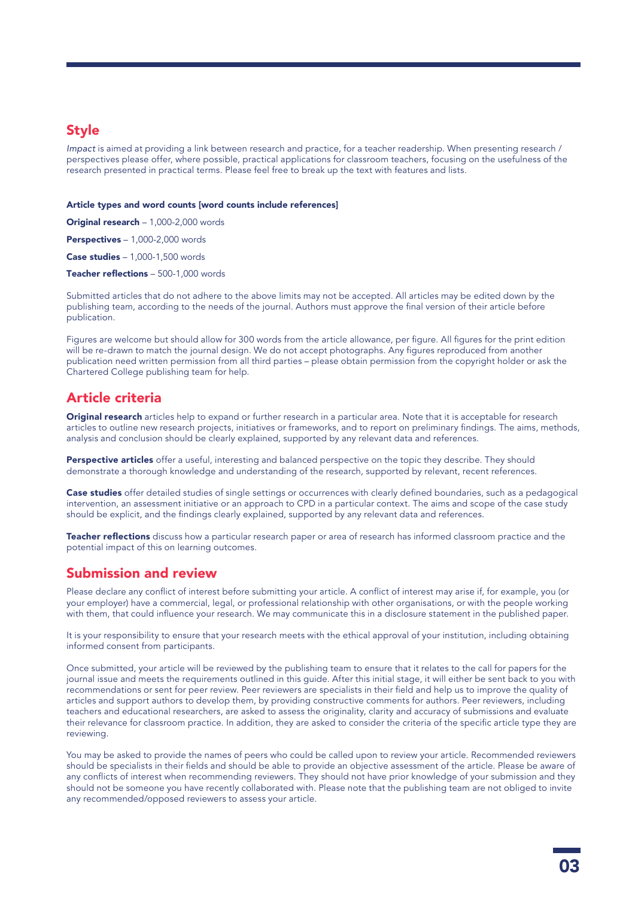# <span id="page-2-0"></span>Style

*Impact* is aimed at providing a link between research and practice, for a teacher readership. When presenting research / perspectives please offer, where possible, practical applications for classroom teachers, focusing on the usefulness of the research presented in practical terms. Please feel free to break up the text with features and lists.

#### Article types and word counts [word counts include references]

Original research – 1,000-2,000 words

Perspectives – 1,000-2,000 words

Case studies – 1,000-1,500 words

Teacher reflections - 500-1,000 words

Submitted articles that do not adhere to the above limits may not be accepted. All articles may be edited down by the publishing team, according to the needs of the journal. Authors must approve the final version of their article before publication.

Figures are welcome but should allow for 300 words from the article allowance, per figure. All figures for the print edition will be re-drawn to match the journal design. We do not accept photographs. Any figures reproduced from another publication need written permission from all third parties – please obtain permission from the copyright holder or ask the Chartered College publishing team for help.

## Article criteria

Original research articles help to expand or further research in a particular area. Note that it is acceptable for research articles to outline new research projects, initiatives or frameworks, and to report on preliminary findings. The aims, methods, analysis and conclusion should be clearly explained, supported by any relevant data and references.

Perspective articles offer a useful, interesting and balanced perspective on the topic they describe. They should demonstrate a thorough knowledge and understanding of the research, supported by relevant, recent references.

Case studies offer detailed studies of single settings or occurrences with clearly defined boundaries, such as a pedagogical intervention, an assessment initiative or an approach to CPD in a particular context. The aims and scope of the case study should be explicit, and the findings clearly explained, supported by any relevant data and references.

Teacher reflections discuss how a particular research paper or area of research has informed classroom practice and the potential impact of this on learning outcomes.

# Submission and review

Please declare any conflict of interest before submitting your article. A conflict of interest may arise if, for example, you (or your employer) have a commercial, legal, or professional relationship with other organisations, or with the people working with them, that could influence your research. We may communicate this in a disclosure statement in the published paper.

It is your responsibility to ensure that your research meets with the ethical approval of your institution, including obtaining informed consent from participants.

Once submitted, your article will be reviewed by the publishing team to ensure that it relates to the call for papers for the journal issue and meets the requirements outlined in this guide. After this initial stage, it will either be sent back to you with recommendations or sent for peer review. Peer reviewers are specialists in their field and help us to improve the quality of articles and support authors to develop them, by providing constructive comments for authors. Peer reviewers, including teachers and educational researchers, are asked to assess the originality, clarity and accuracy of submissions and evaluate their relevance for classroom practice. In addition, they are asked to consider the criteria of the specific article type they are reviewing.

You may be asked to provide the names of peers who could be called upon to review your article. Recommended reviewers should be specialists in their fields and should be able to provide an objective assessment of the article. Please be aware of any conflicts of interest when recommending reviewers. They should not have prior knowledge of your submission and they should not be someone you have recently collaborated with. Please note that the publishing team are not obliged to invite any recommended/opposed reviewers to assess your article.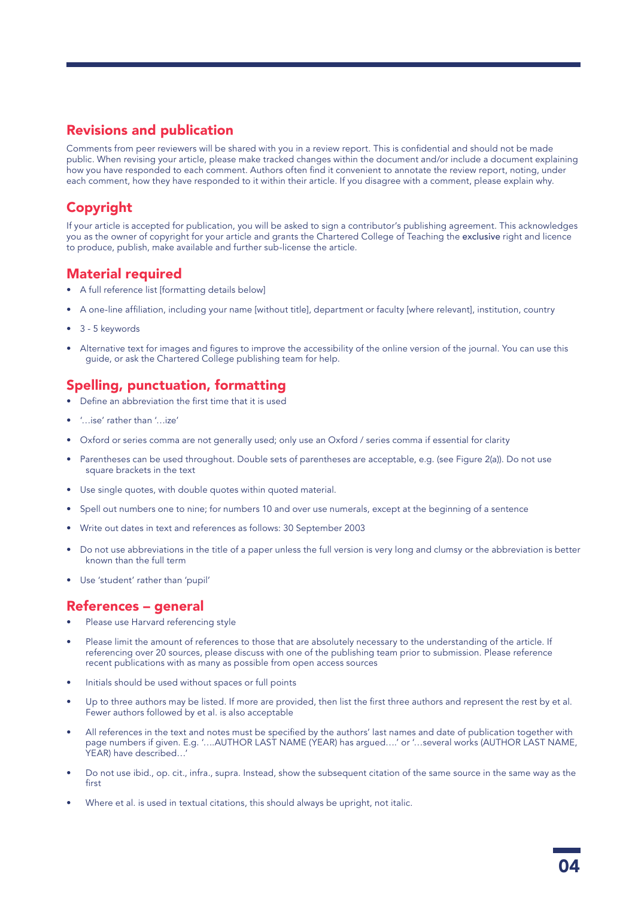# <span id="page-3-0"></span>Revisions and publication

Comments from peer reviewers will be shared with you in a review report. This is confidential and should not be made public. When revising your article, please make tracked changes within the document and/or include a document explaining how you have responded to each comment. Authors often find it convenient to annotate the review report, noting, under each comment, how they have responded to it within their article. If you disagree with a comment, please explain why.

# Copyright

If your article is accepted for publication, you will be asked to sign a contributor's publishing agreement. This acknowledges you as the owner of copyright for your article and grants the Chartered College of Teaching the exclusive right and licence to produce, publish, make available and further sub-license the article.

# Material required

- A full reference list [formatting details below]
- A one-line affiliation, including your name [without title], department or faculty [where relevant], institution, country
- 3 5 keywords
- Alternative text for images and figures to improve the accessibility of the online version of the journal. You can use this guide, or ask the Chartered College publishing team for help.

# Spelling, punctuation, formatting

- Define an abbreviation the first time that it is used
- '…ise' rather than '…ize'
- Oxford or series comma are not generally used; only use an Oxford / series comma if essential for clarity
- Parentheses can be used throughout. Double sets of parentheses are acceptable, e.g. (see Figure 2(a)). Do not use square brackets in the text
- Use single quotes, with double quotes within quoted material.
- Spell out numbers one to nine; for numbers 10 and over use numerals, except at the beginning of a sentence
- Write out dates in text and references as follows: 30 September 2003
- Do not use abbreviations in the title of a paper unless the full version is very long and clumsy or the abbreviation is better known than the full term
- Use 'student' rather than 'pupil'

# References – general

- Please use Harvard referencing style
- Please limit the amount of references to those that are absolutely necessary to the understanding of the article. If referencing over 20 sources, please discuss with one of the publishing team prior to submission. Please reference recent publications with as many as possible from open access sources
- Initials should be used without spaces or full points
- Up to three authors may be listed. If more are provided, then list the first three authors and represent the rest by et al. Fewer authors followed by et al. is also acceptable
- All references in the text and notes must be specified by the authors' last names and date of publication together with page numbers if given. E.g. '....AUTHOR LAST NAME (YEAR) has argued....' or '...several works (AUTHOR LAST NAME, YEAR) have described…'
- Do not use ibid., op. cit., infra., supra. Instead, show the subsequent citation of the same source in the same way as the first
- Where et al. is used in textual citations, this should always be upright, not italic.